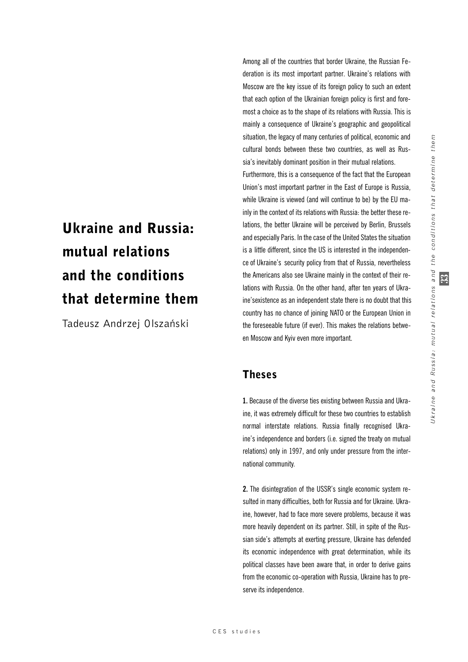# Ukraine and Russia: mutual relations and the conditions that determine them

Tadeusz Andrzej Olszański

Among all of the countries that border Ukraine, the Russian Federation is its most important partner. Ukraine's relations with Moscow are the key issue of its foreign policy to such an extent that each option of the Ukrainian foreign policy is first and foremost a choice as to the shape of its relations with Russia. This is mainly a consequence of Ukraine's geographic and geopolitical situation, the legacy of many centuries of political, economic and cultural bonds between these two countries, as well as Russia's inevitably dominant position in their mutual relations.

Furthermore, this is a consequence of the fact that the European Union's most important partner in the East of Europe is Russia, while Ukraine is viewed (and will continue to be) by the EU mainly in the context of its relations with Russia: the better these relations, the better Ukraine will be perceived by Berlin, Brussels and especially Paris. In the case of the United States the situation is a little different, since the US is interested in the independence of Ukraine's security policy from that of Russia, nevertheless the Americans also see Ukraine mainly in the context of their relations with Russia. On the other hand, after ten years of Ukraine'sexistence as an independent state there is no doubt that this country has no chance of joining NATO or the European Union in the foreseeable future (if ever). This makes the relations between Moscow and Kyiv even more important.

# Theses

**1.** Because of the diverse ties existing between Russia and Ukraine, it was extremely difficult for these two countries to establish normal interstate relations. Russia finally recognised Ukraine's independence and borders (i.e. signed the treaty on mutual relations) only in 1997, and only under pressure from the international community.

**2.** The disintegration of the USSR's single economic system resulted in many difficulties, both for Russia and for Ukraine. Ukraine, however, had to face more severe problems, because it was more heavily dependent on its partner. Still, in spite of the Russian side's attempts at exerting pressure, Ukraine has defended its economic independence with great determination, while its political classes have been aware that, in order to derive gains from the economic co-operation with Russia, Ukraine has to preserve its independence.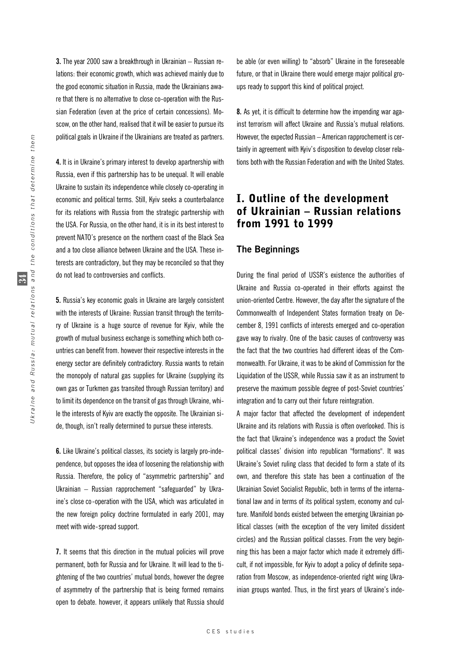**3.** The year 2000 saw a breakthrough in Ukrainian – Russian relations: their economic growth, which was achieved mainly due to the good economic situation in Russia, made the Ukrainians aware that there is no alternative to close co-operation with the Russian Federation (even at the price of certain concessions). Moscow, on the other hand, realised that it will be easier to pursue its political goals in Ukraine if the Ukrainians are treated as partners.

**4.** It is in Ukraine's primary interest to develop apartnership with Russia, even if this partnership has to be unequal. It will enable Ukraine to sustain its independence while closely co-operating in economic and political terms. Still, Kyiv seeks a counterbalance for its relations with Russia from the strategic partnership with the USA. For Russia, on the other hand, it is in its best interest to prevent NATO's presence on the northern coast of the Black Sea and a too close alliance between Ukraine and the USA. These interests are contradictory, but they may be reconciled so that they do not lead to controversies and conflicts.

**5.** Russia's key economic goals in Ukraine are largely consistent with the interests of Ukraine: Russian transit through the territory of Ukraine is a huge source of revenue for Kyiv, while the growth of mutual business exchange is something which both countries can benefit from. however their respective interests in the energy sector are definitely contradictory. Russia wants to retain the monopoly of natural gas supplies for Ukraine (supplying its own gas or Turkmen gas transited through Russian territory) and to limit its dependence on the transit of gas through Ukraine, while the interests of Kyiv are exactly the opposite. The Ukrainian side, though, isn't really determined to pursue these interests.

**6.** Like Ukraine's political classes, its society is largely pro-independence, but opposes the idea of loosening the relationship with Russia. Therefore, the policy of "asymmetric partnership" and Ukrainian – Russian rapprochement "safeguarded" by Ukraine's close co-operation with the USA, which was articulated in the new foreign policy doctrine formulated in early 2001, may meet with wide-spread support.

**7.** It seems that this direction in the mutual policies will prove permanent, both for Russia and for Ukraine. It will lead to the tightening of the two countries' mutual bonds, however the degree of asymmetry of the partnership that is being formed remains open to debate. however, it appears unlikely that Russia should

be able (or even willing) to "absorb" Ukraine in the foreseeable future, or that in Ukraine there would emerge major political groups ready to support this kind of political project.

**8.** As yet, it is difficult to determine how the impending war against terrorism will affect Ukraine and Russia's mutual relations. However, the expected Russian – American rapprochement is certainly in agreement with Kyiv's disposition to develop closer relations both with the Russian Federation and with the United States.

# I. Outline of the development of Ukrainian – Russian relations from 1991 to 1999

#### **The Beginnings**

During the final period of USSR's existence the authorities of Ukraine and Russia co-operated in their efforts against the union-oriented Centre. However, the day after the signature of the Commonwealth of Independent States formation treaty on December 8, 1991 conflicts of interests emerged and co-operation gave way to rivalry. One of the basic causes of controversy was the fact that the two countries had different ideas of the Commonwealth. For Ukraine, it was to be akind of Commission for the Liquidation of the USSR, while Russia saw it as an instrument to preserve the maximum possible degree of post-Soviet countries' integration and to carry out their future reintegration.

A major factor that affected the development of independent Ukraine and its relations with Russia is often overlooked. This is the fact that Ukraine's independence was a product the Soviet political classes' division into republican "formations". It was Ukraine's Soviet ruling class that decided to form a state of its own, and therefore this state has been a continuation of the Ukrainian Soviet Socialist Republic, both in terms of the international law and in terms of its political system, economy and culture. Manifold bonds existed between the emerging Ukrainian political classes (with the exception of the very limited dissident circles) and the Russian political classes. From the very beginning this has been a major factor which made it extremely difficult, if not impossible, for Kyiv to adopt a policy of definite separation from Moscow, as independence-oriented right wing Ukrainian groups wanted. Thus, in the first years of Ukraine's inde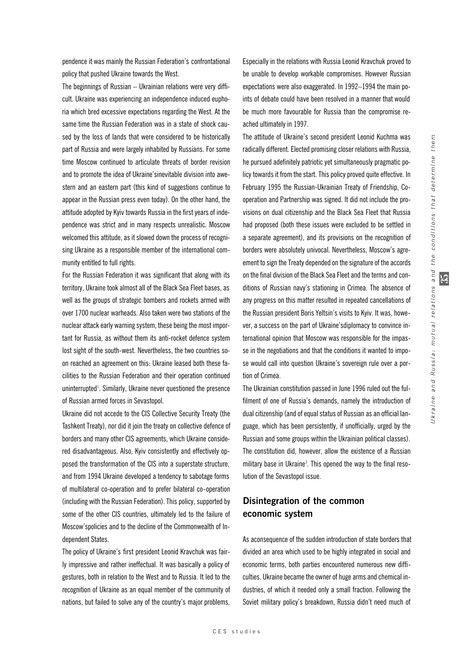pendence it was mainly the Russian Federation's confrontational policy that pushed Ukraine towards the West.

The beginnings of Russian – Ukrainian relations were very difficult. Ukraine was experiencing an independence induced euphoria which bred excessive expectations regarding the West. At the same time the Russian Federation was in a state of shock caused by the loss of lands that were considered to be historically part of Russia and were largely inhabited by Russians. For some time Moscow continued to articulate threats of border revision and to promote the idea of Ukraine'sinevitable division into awestern and an eastern part (this kind of suggestions continue to appear in the Russian press even today). On the other hand, the attitude adopted by Kyiv towards Russia in the first years of independence was strict and in many respects unrealistic. Moscow welcomed this attitude, as it slowed down the process of recognising Ukraine as a responsible member of the international community entitled to full rights.

For the Russian Federation it was significant that along with its territory, Ukraine took almost all of the Black Sea Fleet bases, as well as the groups of strategic bombers and rockets armed with over 1700 nuclear warheads. Also taken were two stations of the nuclear attack early warning system, these being the most important for Russia, as without them its anti-rocket defence system lost sight of the south-west. Nevertheless, the two countries soon reached an agreement on this: Ukraine leased both these facilities to the Russian Federation and their operation continued uninterrupted<sup>1</sup>. Similarly, Ukraine never questioned the presence of Russian armed forces in Sevastopol.

Ukraine did not accede to the CIS Collective Security Treaty (the Tashkent Treaty), nor did it join the treaty on collective defence of borders and many other CIS agreements, which Ukraine considered disadvantageous. Also, Kyiv consistently and effectively opposed the transformation of the CIS into a superstate structure, and from 1994 Ukraine developed a tendency to sabotage forms of multilateral co-operation and to prefer bilateral co-operation (including with the Russian Federation). This policy, supported by some of the other CIS countries, ultimately led to the failure of Moscow'spolicies and to the decline of the Commonwealth of Independent States.

The policy of Ukraine's first president Leonid Kravchuk was fairly impressive and rather ineffectual. It was basically a policy of gestures, both in relation to the West and to Russia. It led to the recognition of Ukraine as an equal member of the community of nations, but failed to solve any of the country's major problems. Especially in the relations with Russia Leonid Kravchuk proved to be unable to develop workable compromises. However Russian expectations were also exaggerated. In 1992–1994 the main points of debate could have been resolved in a manner that would be much more favourable for Russia than the compromise reached ultimately in 1997.

The attitude of Ukraine's second president Leonid Kuchma was radically different. Elected promising closer relations with Russia, he pursued adefinitely patriotic yet simultaneously pragmatic policy towards it from the start. This policy proved quite effective. In February 1995 the Russian-Ukrainian Treaty of Friendship, Cooperation and Partnership was signed. It did not include the provisions on dual citizenship and the Black Sea Fleet that Russia had proposed (both these issues were excluded to be settled in a separate agreement), and its provisions on the recognition of borders were absolutely univocal. Nevertheless, Moscow's agreement to sign the Treaty depended on the signature of the accords on the final division of the Black Sea Fleet and the terms and conditions of Russian navy's stationing in Crimea. The absence of any progress on this matter resulted in repeated cancellations of the Russian president Boris Yeltsin's visits to Kyiv. It was, however, a success on the part of Ukraine'sdiplomacy to convince international opinion that Moscow was responsible for the impasse in the negotiations and that the conditions it wanted to impose would call into question Ukraine's sovereign rule over a portion of Crimea.

The Ukrainian constitution passed in June 1996 ruled out the fulfilment of one of Russia's demands, namely the introduction of dual citizenship (and of equal status of Russian as an official language, which has been persistently, if unofficially, urged by the Russian and some groups within the Ukrainian political classes). The constitution did, however, allow the existence of a Russian military base in Ukraine<sup>2</sup>. This opened the way to the final resolution of the Sevastopol issue.

## **Disintegration of the common economic system**

As aconsequence of the sudden introduction of state borders that divided an area which used to be highly integrated in social and economic terms, both parties encountered numerous new difficulties. Ukraine became the owner of huge arms and chemical industries, of which it needed only a small fraction. Following the Soviet military policy's breakdown, Russia didn't need much of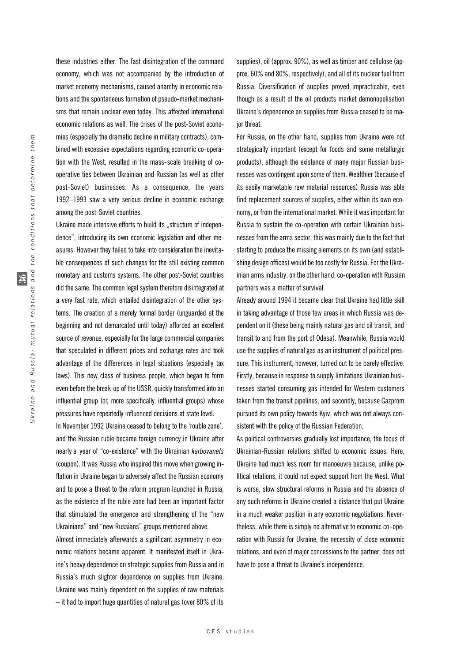these industries either. The fast disintegration of the command economy, which was not accompanied by the introduction of market economy mechanisms, caused anarchy in economic relations and the spontaneous formation of pseudo-market mechanisms that remain unclear even today. This affected international economic relations as well. The crises of the post-Soviet economies (especially the dramatic decline in military contracts), combined with excessive expectations regarding economic co-operation with the West, resulted in the mass-scale breaking of cooperative ties between Ukrainian and Russian (as well as other post-Soviet) businesses. As a consequence, the years 1992–1993 saw a very serious decline in economic exchange among the post-Soviet countries.

Ukraine made intensive efforts to build its "structure of independence", introducing its own economic legislation and other measures. However they failed to take into consideration the inevitable consequences of such changes for the still existing common monetary and customs systems. The other post-Soviet countries did the same. The common legal system therefore disintegrated at a very fast rate, which entailed disintegration of the other systems. The creation of a merely formal border (unguarded at the beginning and not demarcated until today) afforded an excellent source of revenue, especially for the large commercial companies that speculated in different prices and exchange rates and took advantage of the differences in legal situations (especially tax laws). This new class of business people, which began to form even before the break-up of the USSR, quickly transformed into an influential group (or, more specifically, influential groups) whose pressures have repeatedly influenced decisions at state level.

In November 1992 Ukraine ceased to belong to the 'rouble zone', and the Russian ruble became foreign currency in Ukraine after nearly a year of "co-existence" with the Ukrainian *karbovanets* (coupon). It was Russia who inspired this move when growing inflation in Ukraine began to adversely affect the Russian economy and to pose a threat to the reform program launched in Russia, as the existence of the ruble zone had been an important factor that stimulated the emergence and strengthening of the "new Ukrainians" and "new Russians" groups mentioned above.

Almost immediately afterwards a significant asymmetry in economic relations became apparent. It manifested itself in Ukraine's heavy dependence on strategic supplies from Russia and in Russia's much slighter dependence on supplies from Ukraine. Ukraine was mainly dependent on the supplies of raw materials – it had to import huge quantities of natural gas (over 80% of its

supplies), oil (approx. 90%), as well as timber and cellulose (approx. 60% and 80%, respectively), and all of its nuclear fuel from Russia. Diversification of supplies proved impracticable, even though as a result of the oil products market demonopolisation Ukraine's dependence on supplies from Russia ceased to be major threat.

For Russia, on the other hand, supplies from Ukraine were not strategically important (except for foods and some metallurgic products), although the existence of many major Russian businesses was contingent upon some of them. Wealthier (because of its easily marketable raw material resources) Russia was able find replacement sources of supplies, either within its own economy, or from the international market. While it was important for Russia to sustain the co-operation with certain Ukrainian businesses from the arms sector, this was mainly due to the fact that starting to produce the missing elements on its own (and establishing design offices) would be too costly for Russia. For the Ukrainian arms industry, on the other hand, co-operation with Russian partners was a matter of survival.

Already around 1994 it became clear that Ukraine had little skill in taking advantage of those few areas in which Russia was dependent on it (these being mainly natural gas and oil transit, and transit to and from the port of Odesa). Meanwhile, Russia would use the supplies of natural gas as an instrument of political pressure. This instrument, however, turned out to be barely effective. Firstly, because in response to supply limitations Ukrainian businesses started consuming gas intended for Western customers taken from the transit pipelines, and secondly, because Gazprom pursued its own policy towards Kyiv, which was not always consistent with the policy of the Russian Federation.

As political controversies gradually lost importance, the focus of Ukrainian-Russian relations shifted to economic issues. Here, Ukraine had much less room for manoeuvre because, unlike political relations, it could not expect support from the West. What is worse, slow structural reforms in Russia and the absence of any such reforms in Ukraine created a distance that put Ukraine in a much weaker position in any economic negotiations. Nevertheless, while there is simply no alternative to economic co-operation with Russia for Ukraine, the necessity of close economic relations, and even of major concessions to the partner, does not have to pose a threat to Ukraine's independence.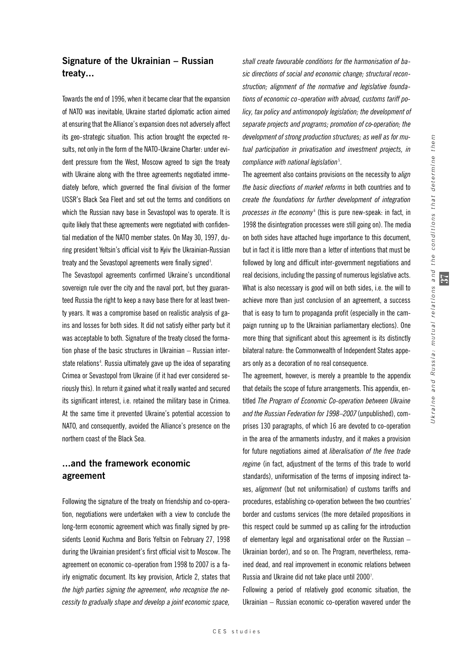## **Signature of the Ukrainian – Russian treaty...**

Towards the end of 1996, when it became clear that the expansion of NATO was inevitable, Ukraine started diplomatic action aimed at ensuring that the Alliance's expansion does not adversely affect its geo-strategic situation. This action brought the expected results, not only in the form of the NATO-Ukraine Charter: under evident pressure from the West, Moscow agreed to sign the treaty with Ukraine along with the three agreements negotiated immediately before, which governed the final division of the former USSR's Black Sea Fleet and set out the terms and conditions on which the Russian navy base in Sevastopol was to operate. It is quite likely that these agreements were negotiated with confidential mediation of the NATO member states. On May 30, 1997, during president Yeltsin's official visit to Kyiv the Ukrainian-Russian treaty and the Sevastopol agreements were finally signed<sup>3</sup>.

The Sevastopol agreements confirmed Ukraine's unconditional sovereign rule over the city and the naval port, but they guaranteed Russia the right to keep a navy base there for at least twenty years. It was a compromise based on realistic analysis of gains and losses for both sides. It did not satisfy either party but it was acceptable to both. Signature of the treaty closed the formation phase of the basic structures in Ukrainian – Russian interstate relations<sup>4</sup>. Russia ultimately gave up the idea of separating Crimea or Sevastopol from Ukraine (if it had ever considered seriously this). In return it gained what it really wanted and secured its significant interest, i.e. retained the military base in Crimea. At the same time it prevented Ukraine's potential accession to NATO, and consequently, avoided the Alliance's presence on the northern coast of the Black Sea.

# **...and the framework economic agreement**

Following the signature of the treaty on friendship and co-operation, negotiations were undertaken with a view to conclude the long-term economic agreement which was finally signed by presidents Leonid Kuchma and Boris Yeltsin on February 27, 1998 during the Ukrainian president's first official visit to Moscow. The agreement on economic co-operation from 1998 to 2007 is a fairly enigmatic document. Its key provision, Article 2, states that *the high parties signing the agreement, who recognise the necessity to gradually shape and develop a joint economic space,*

*shall create favourable conditions for the harmonisation of basic directions of social and economic change; structural reconstruction; alignment of the normative and legislative foundations of economic co-operation with abroad, customs tariff policy, tax policy and antimonopoly legislation; the development of separate projects and programs; promotion of co-operation; the development of strong production structures; as well as for mutual participation in privatisation and investment projects, in compliance with national legislation*<sup>5</sup> .

The agreement also contains provisions on the necessity to *align the basic directions of market reforms* in both countries and to *create the foundations for further development of integration processes in the economy* 6(this is pure new-speak: in fact, in 1998 the disintegration processes were still going on). The media on both sides have attached huge importance to this document, but in fact it is little more than a letter of intentions that must be followed by long and difficult inter-government negotiations and real decisions, including the passing of numerous legislative acts. What is also necessary is good will on both sides, i.e. the will to achieve more than just conclusion of an agreement, a success that is easy to turn to propaganda profit (especially in the campaign running up to the Ukrainian parliamentary elections). One more thing that significant about this agreement is its distinctly bilateral nature: the Commonwealth of Independent States appears only as a decoration of no real consequence.

The agreement, however, is merely a preamble to the appendix that details the scope of future arrangements. This appendix, entitled *The Program of Economic Co-operation between Ukraine and the Russian Federation for 1998–2007* (unpublished), comprises 130 paragraphs, of which 16 are devoted to co-operation in the area of the armaments industry, and it makes a provision for future negotiations aimed at *liberalisation of the free trade regime* (in fact, adjustment of the terms of this trade to world standards), uniformisation of the terms of imposing indirect taxes, *alignment* (but not uniformisation) of customs tariffs and procedures, establishing co-operation between the two countries' border and customs services (the more detailed propositions in this respect could be summed up as calling for the introduction of elementary legal and organisational order on the Russian – Ukrainian border), and so on. The Program, nevertheless, remained dead, and real improvement in economic relations between Russia and Ukraine did not take place until 2000'.

Following a period of relatively good economic situation, the Ukrainian – Russian economic co-operation wavered under the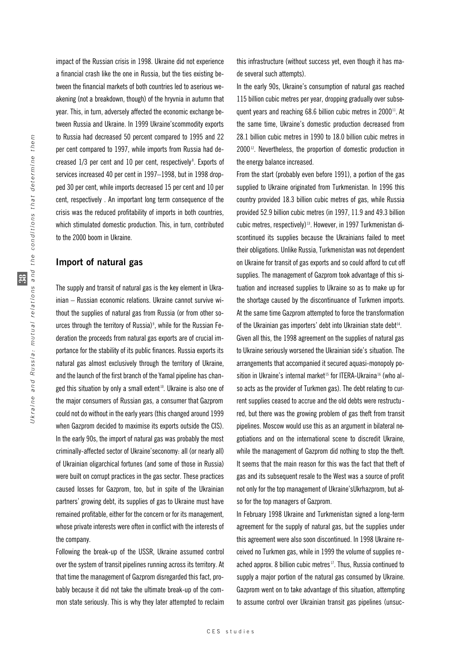impact of the Russian crisis in 1998. Ukraine did not experience a financial crash like the one in Russia, but the ties existing between the financial markets of both countries led to aserious weakening (not a breakdown, though) of the hryvnia in autumn that year. This, in turn, adversely affected the economic exchange between Russia and Ukraine. In 1999 Ukraine'scommodity exports to Russia had decreased 50 percent compared to 1995 and 22 per cent compared to 1997, while imports from Russia had decreased 1/3 per cent and 10 per cent, respectively<sup>8</sup>. Exports of services increased 40 per cent in 1997–1998, but in 1998 dropped 30 per cent, while imports decreased 15 per cent and 10 per cent, respectively . An important long term consequence of the crisis was the reduced profitability of imports in both countries, which stimulated domestic production. This, in turn, contributed to the 2000 boom in Ukraine.

#### **Import of natural gas**

The supply and transit of natural gas is the key element in Ukrainian – Russian economic relations. Ukraine cannot survive without the supplies of natural gas from Russia (or from other sources through the territory of Russia)<sup>9</sup>, while for the Russian Federation the proceeds from natural gas exports are of crucial importance for the stability of its public finances. Russia exports its natural gas almost exclusively through the territory of Ukraine, and the launch of the first branch of the Yamal pipeline has changed this situation by only a small extent<sup>10</sup>. Ukraine is also one of the major consumers of Russian gas, a consumer that Gazprom could not do without in the early years (this changed around 1999 when Gazprom decided to maximise its exports outside the CIS). In the early 90s, the import of natural gas was probably the most criminally-affected sector of Ukraine'seconomy: all (or nearly all) of Ukrainian oligarchical fortunes (and some of those in Russia) were built on corrupt practices in the gas sector. These practices caused losses for Gazprom, too, but in spite of the Ukrainian partners' growing debt, its supplies of gas to Ukraine must have remained profitable, either for the concern or for its management, whose private interests were often in conflict with the interests of the company.

Following the break-up of the USSR, Ukraine assumed control over the system of transit pipelines running across its territory. At that time the management of Gazprom disregarded this fact, probably because it did not take the ultimate break-up of the common state seriously. This is why they later attempted to reclaim this infrastructure (without success yet, even though it has made several such attempts).

In the early 90s, Ukraine's consumption of natural gas reached 115 billion cubic metres per year, dropping gradually over subsequent years and reaching 68.6 billion cubic metres in 2000<sup>11</sup>. At the same time, Ukraine's domestic production decreased from 28.1 billion cubic metres in 1990 to 18.0 billion cubic metres in 2000<sup>12</sup>. Nevertheless, the proportion of domestic production in the energy balance increased.

From the start (probably even before 1991), a portion of the gas supplied to Ukraine originated from Turkmenistan. In 1996 this country provided 18.3 billion cubic metres of gas, while Russia provided 52.9 billion cubic metres (in 1997, 11.9 and 49.3 billion cubic metres, respectively) <sup>13</sup>. However, in 1997 Turkmenistan discontinued its supplies because the Ukrainians failed to meet their obligations. Unlike Russia, Turkmenistan was not dependent on Ukraine for transit of gas exports and so could afford to cut off supplies. The management of Gazprom took advantage of this situation and increased supplies to Ukraine so as to make up for the shortage caused by the discontinuance of Turkmen imports. At the same time Gazprom attempted to force the transformation of the Ukrainian gas importers' debt into Ukrainian state debt<sup>14</sup>. Given all this, the 1998 agreement on the supplies of natural gas to Ukraine seriously worsened the Ukrainian side's situation. The arrangements that accompanied it secured aquasi-monopoly position in Ukraine's internal market<sup>15</sup> for ITERA-Ukraina<sup>16</sup> (who also acts as the provider of Turkmen gas). The debt relating to current supplies ceased to accrue and the old debts were restructured, but there was the growing problem of gas theft from transit pipelines. Moscow would use this as an argument in bilateral negotiations and on the international scene to discredit Ukraine, while the management of Gazprom did nothing to stop the theft. It seems that the main reason for this was the fact that theft of gas and its subsequent resale to the West was a source of profit not only for the top management of Ukraine'sUkrhazprom, but also for the top managers of Gazprom.

In February 1998 Ukraine and Turkmenistan signed a long-term agreement for the supply of natural gas, but the supplies under this agreement were also soon discontinued. In 1998 Ukraine received no Turkmen gas, while in 1999 the volume of supplies reached approx. 8 billion cubic metres<sup>17</sup>. Thus, Russia continued to supply a major portion of the natural gas consumed by Ukraine. Gazprom went on to take advantage of this situation, attempting to assume control over Ukrainian transit gas pipelines (unsuc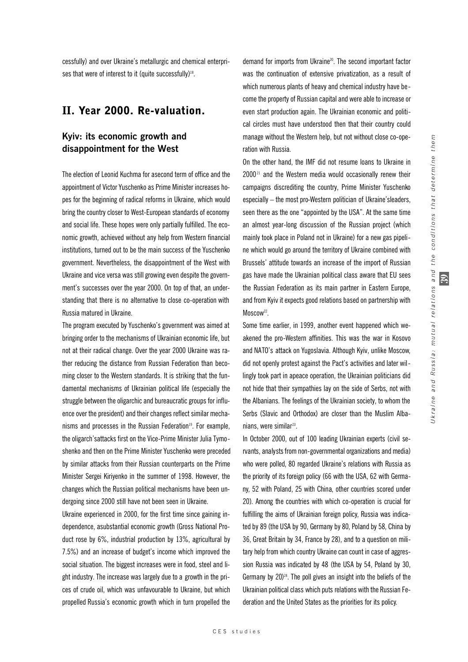cessfully) and over Ukraine's metallurgic and chemical enterprises that were of interest to it (quite successfully)<sup>18</sup>.

# II. Year 2000. Re-valuation.

## **Kyiv: its economic growth and disappointment for the West**

The election of Leonid Kuchma for asecond term of office and the appointment of Victor Yuschenko as Prime Minister increases hopes for the beginning of radical reforms in Ukraine, which would bring the country closer to West-European standards of economy and social life. These hopes were only partially fulfilled. The economic growth, achieved without any help from Western financial institutions, turned out to be the main success of the Yuschenko government. Nevertheless, the disappointment of the West with Ukraine and vice versa was still growing even despite the government's successes over the year 2000. On top of that, an understanding that there is no alternative to close co-operation with Russia matured in Ukraine.

The program executed by Yuschenko's government was aimed at bringing order to the mechanisms of Ukrainian economic life, but not at their radical change. Over the year 2000 Ukraine was rather reducing the distance from Russian Federation than becoming closer to the Western standards. It is striking that the fundamental mechanisms of Ukrainian political life (especially the struggle between the oligarchic and bureaucratic groups for influence over the president) and their changes reflect similar mechanisms and processes in the Russian Federation<sup>19</sup>. For example, the oligarch'sattacks first on the Vice-Prime Minister Julia Tymoshenko and then on the Prime Minister Yuschenko were preceded by similar attacks from their Russian counterparts on the Prime Minister Sergei Kiriyenko in the summer of 1998. However, the changes which the Russian political mechanisms have been undergoing since 2000 still have not been seen in Ukraine.

Ukraine experienced in 2000, for the first time since gaining independence, asubstantial economic growth (Gross National Product rose by 6%, industrial production by 13%, agricultural by 7.5%) and an increase of budget's income which improved the social situation. The biggest increases were in food, steel and light industry. The increase was largely due to a growth in the prices of crude oil, which was unfavourable to Ukraine, but which propelled Russia's economic growth which in turn propelled the demand for imports from Ukraine20. The second important factor was the continuation of extensive privatization, as a result of which numerous plants of heavy and chemical industry have become the property of Russian capital and were able to increase or even start production again. The Ukrainian economic and political circles must have understood then that their country could manage without the Western help, but not without close co-operation with Russia.

On the other hand, the IMF did not resume loans to Ukraine in  $2000<sup>21</sup>$  and the Western media would occasionally renew their campaigns discrediting the country, Prime Minister Yuschenko especially – the most pro-Western politician of Ukraine'sleaders, seen there as the one "appointed by the USA". At the same time an almost year-long discussion of the Russian project (which mainly took place in Poland not in Ukraine) for a new gas pipeline which would go around the territory of Ukraine combined with Brussels' attitude towards an increase of the import of Russian gas have made the Ukrainian political class aware that EU sees the Russian Federation as its main partner in Eastern Europe, and from Kyiv it expects good relations based on partnership with Moscow<sup>22</sup>.

Some time earlier, in 1999, another event happened which weakened the pro-Western affinities. This was the war in Kosovo and NATO's attack on Yugoslavia. Although Kyiv, unlike Moscow, did not openly protest against the Pact's activities and later willingly took part in apeace operation, the Ukrainian politicians did not hide that their sympathies lay on the side of Serbs, not with the Albanians. The feelings of the Ukrainian society, to whom the Serbs (Slavic and Orthodox) are closer than the Muslim Albanians, were similar<sup>23</sup>.

In October 2000, out of 100 leading Ukrainian experts (civil servants, analysts from non-governmental organizations and media) who were polled, 80 regarded Ukraine's relations with Russia as the priority of its foreign policy (66 with the USA, 62 with Germany, 52 with Poland, 25 with China, other countries scored under 20). Among the countries with which co-operation is crucial for fulfilling the aims of Ukrainian foreign policy, Russia was indicated by 89 (the USA by 90, Germany by 80, Poland by 58, China by 36, Great Britain by 34, France by 28), and to a question on military help from which country Ukraine can count in case of aggression Russia was indicated by 48 (the USA by 54, Poland by 30, Germany by  $20)^{24}$ . The poll gives an insight into the beliefs of the Ukrainian political class which puts relations with the Russian Federation and the United States as the priorities for its policy.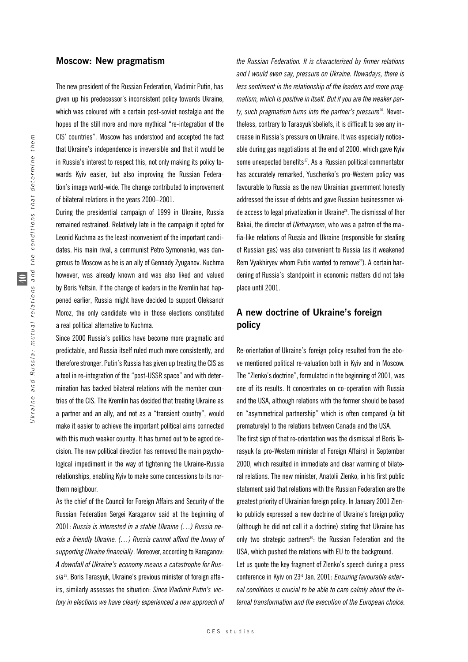#### **Moscow: New pragmatism**

The new president of the Russian Federation, Vladimir Putin, has given up his predecessor's inconsistent policy towards Ukraine, which was coloured with a certain post-soviet nostalgia and the hopes of the still more and more mythical "re-integration of the CIS' countries". Moscow has understood and accepted the fact that Ukraine's independence is irreversible and that it would be in Russia's interest to respect this, not only making its policy towards Kyiv easier, but also improving the Russian Federation's image world-wide. The change contributed to improvement of bilateral relations in the years 2000–2001.

During the presidential campaign of 1999 in Ukraine, Russia remained restrained. Relatively late in the campaign it opted for Leonid Kuchma as the least inconvenient of the important candidates. His main rival, a communist Petro Symonenko, was dangerous to Moscow as he is an ally of Gennady Zyuganov. Kuchma however, was already known and was also liked and valued by Boris Yeltsin. If the change of leaders in the Kremlin had happened earlier, Russia might have decided to support Oleksandr Moroz, the only candidate who in those elections constituted a real political alternative to Kuchma.

Since 2000 Russia's politics have become more pragmatic and predictable, and Russia itself ruled much more consistently, and therefore stronger. Putin's Russia has given up treating the CIS as a tool in re-integration of the "post-USSR space" and with determination has backed bilateral relations with the member countries of the CIS. The Kremlin has decided that treating Ukraine as a partner and an ally, and not as a "transient country", would make it easier to achieve the important political aims connected with this much weaker country. It has turned out to be agood decision. The new political direction has removed the main psychological impediment in the way of tightening the Ukraine-Russia relationships, enabling Kyiv to make some concessions to its northern neighbour.

As the chief of the Council for Foreign Affairs and Security of the Russian Federation Sergei Karaganov said at the beginning of 2001: *Russia is interested in a stable Ukraine (…) Russia needs a friendly Ukraine. (…) Russia cannot afford the luxury of supporting Ukraine financially*. Moreover, according to Karaganov: *A downfall of Ukraine's economy means a catastrophe for Russia*25. Boris Tarasyuk, Ukraine's previous minister of foreign affairs, similarly assesses the situation: *Since Vladimir Putin's victory in elections we have clearly experienced a new approach of* *the Russian Federation. It is characterised by firmer relations and I would even say, pressure on Ukraine. Nowadays, there is less sentiment in the relationship of the leaders and more pragmatism, which is positive in itself. But if you are the weaker party, such pragmatism turns into the partner's pressure*26. Nevertheless, contrary to Tarasyuk'sbeliefs, it is difficult to see any increase in Russia's pressure on Ukraine. It was especially noticeable during gas negotiations at the end of 2000, which gave Kyiv some unexpected benefits<sup>27</sup>. As a Russian political commentator has accurately remarked, Yuschenko's pro-Western policy was favourable to Russia as the new Ukrainian government honestly addressed the issue of debts and gave Russian businessmen wide access to legal privatization in Ukraine28. The dismissal of Ihor Bakai, the director of *Ukrhazprom*, who was a patron of the mafia-like relations of Russia and Ukraine (responsible for stealing of Russian gas) was also convenient to Russia (as it weakened Rem Vyakhiryev whom Putin wanted to remove<sup>29</sup>). A certain hardening of Russia's standpoint in economic matters did not take place until 2001.

# **A new doctrine of Ukraine's foreign policy**

Re-orientation of Ukraine's foreign policy resulted from the above mentioned political re-valuation both in Kyiv and in Moscow. The "Zlenko's doctrine", formulated in the beginning of 2001, was one of its results. It concentrates on co-operation with Russia and the USA, although relations with the former should be based on "asymmetrical partnership" which is often compared (a bit prematurely) to the relations between Canada and the USA. The first sign of that re-orientation was the dismissal of Boris Tarasyuk (a pro-Western minister of Foreign Affairs) in September 2000, which resulted in immediate and clear warming of bilateral relations. The new minister, Anatolii Zlenko, in his first public statement said that relations with the Russian Federation are the greatest priority of Ukrainian foreign policy. In January 2001 Zlenko publicly expressed a new doctrine of Ukraine's foreign policy (although he did not call it a doctrine) stating that Ukraine has only two strategic partners<sup>30</sup>: the Russian Federation and the USA, which pushed the relations with EU to the background. Let us quote the key fragment of Zlenko's speech during a press conference in Kyiv on 23rd Jan. 2001: *Ensuring favourable exter-*

*nal conditions is crucial to be able to care calmly about the internal transformation and the execution of the European choice.*

Russia: mutual relations and the conditions that determine them Ukraine and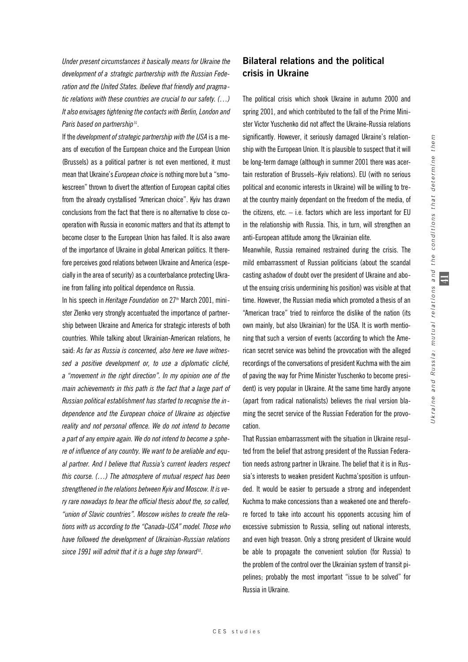$\equiv$ 

*Under present circumstances it basically means for Ukraine the development of a strategic partnership with the Russian Federation and the United States. Ibelieve that friendly and pragmatic relations with these countries are crucial to our safety. (…) It also envisages tightening the contacts with Berlin, London and Paris based on partnership*<sup>31</sup> .

If the *development of strategic partnership with the USA* is a means of execution of the European choice and the European Union (Brussels) as a political partner is not even mentioned, it must mean that Ukraine's *European choice* is nothing more but a "smoke screen" thrown to divert the attention of European capital cities from the already crystallised "American choice". Kyiv has drawn conclusions from the fact that there is no alternative to close cooperation with Russia in economic matters and that its attempt to become closer to the European Union has failed. It is also aware of the importance of Ukraine in global American politics. It therefore perceives good relations between Ukraine and America (especially in the area of security) as a counterbalance protecting Ukraine from falling into political dependence on Russia.

In his speech in *Heritage Foundation* on 27<sup>th</sup> March 2001, minister Zlenko very strongly accentuated the importance of partnership between Ukraine and America for strategic interests of both countries. While talking about Ukrainian-American relations, he said: *As far as Russia is concerned, also here we have witnessed a positive development or, to use a diplomatic cliché, a "movement in the right direction". In my opinion one of the main achievements in this path is the fact that a large part of Russian political establishment has started to recognise the independence and the European choice of Ukraine as objective reality and not personal offence. We do not intend to become a part of any empire again. We do not intend to become a sphere of influence of any country. We want to be areliable and equal partner. And I believe that Russia's current leaders respect this course. (…) The atmosphere of mutual respect has been strengthened in the relations between Kyiv and Moscow. It is very rare nowadays to hear the official thesis about the, so called, "union of Slavic countries". Moscow wishes to create the relations with us according to the "Canada-USA" model. Those who have followed the development of Ukrainian-Russian relations since 1991 will admit that it is a huge step forward*<sup>32</sup> .

## **Bilateral relations and the political crisis in Ukraine**

The political crisis which shook Ukraine in autumn 2000 and spring 2001, and which contributed to the fall of the Prime Minister Victor Yuschenko did not affect the Ukraine-Russia relations significantly. However, it seriously damaged Ukraine's relationship with the European Union. It is plausible to suspect that it will be long-term damage (although in summer 2001 there was acertain restoration of Brussels–Kyiv relations). EU (with no serious political and economic interests in Ukraine) will be willing to treat the country mainly dependant on the freedom of the media, of the citizens, etc.  $-$  i.e. factors which are less important for EU in the relationship with Russia. This, in turn, will strengthen an anti-European attitude among the Ukrainian elite.

Meanwhile, Russia remained restrained during the crisis. The mild embarrassment of Russian politicians (about the scandal casting ashadow of doubt over the president of Ukraine and about the ensuing crisis undermining his position) was visible at that time. However, the Russian media which promoted a thesis of an "American trace" tried to reinforce the dislike of the nation (its own mainly, but also Ukrainian) for the USA. It is worth mentioning that such a version of events (according to which the American secret service was behind the provocation with the alleged recordings of the conversations of president Kuchma with the aim of paving the way for Prime Minister Yuschenko to become president) is very popular in Ukraine. At the same time hardly anyone (apart from radical nationalists) believes the rival version blaming the secret service of the Russian Federation for the provocation.

That Russian embarrassment with the situation in Ukraine resulted from the belief that astrong president of the Russian Federation needs astrong partner in Ukraine. The belief that it is in Russia's interests to weaken president Kuchma'sposition is unfounded. It would be easier to persuade a strong and independent Kuchma to make concessions than a weakened one and therefore forced to take into account his opponents accusing him of excessive submission to Russia, selling out national interests, and even high treason. Only a strong president of Ukraine would be able to propagate the convenient solution (for Russia) to the problem of the control over the Ukrainian system of transit pipelines; probably the most important "issue to be solved" for Russia in Ukraine.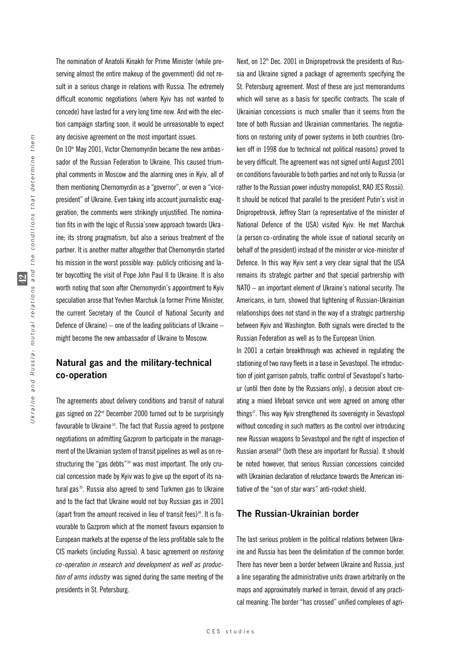The nomination of Anatolii Kinakh for Prime Minister (while preserving almost the entire makeup of the government) did not result in a serious change in relations with Russia. The extremely difficult economic negotiations (where Kyiv has not wanted to concede) have lasted for a very long time now. And with the election campaign starting soon, it would be unreasonable to expect any decisive agreement on the most important issues.

On 10<sup>th</sup> May 2001, Victor Chernomyrdin became the new ambassador of the Russian Federation to Ukraine. This caused triumphal comments in Moscow and the alarming ones in Kyiv, all of them mentioning Chernomyrdin as a "governor", or even a "vicepresident" of Ukraine. Even taking into account journalistic exaggeration, the comments were strikingly unjustified. The nomination fits in with the logic of Russia'snew approach towards Ukraine; its strong pragmatism, but also a serious treatment of the partner. It is another matter altogether that Chernomyrdin started his mission in the worst possible way: publicly criticising and later boycotting the visit of Pope John Paul II to Ukraine. It is also worth noting that soon after Chernomyrdin's appointment to Kyiv speculation arose that Yevhen Marchuk (a former Prime Minister, the current Secretary of the Council of National Security and Defence of Ukraine) – one of the leading politicians of Ukraine – might become the new ambassador of Ukraine to Moscow.

## **Natural gas and the military-technical co-operation**

The agreements about delivery conditions and transit of natural gas signed on 22<sup>nd</sup> December 2000 turned out to be surprisingly favourable to Ukraine<sup>33</sup>. The fact that Russia agreed to postpone negotiations on admitting Gazprom to participate in the management of the Ukrainian system of transit pipelines as well as on restructuring the "gas debts"<sup>34</sup> was most important. The only crucial concession made by Kyiv was to give up the export of its natural gas<sup>35</sup>. Russia also agreed to send Turkmen gas to Ukraine and to the fact that Ukraine would not buy Russian gas in 2001 (apart from the amount received in lieu of transit fees) $36$ . It is favourable to Gazprom which at the moment favours expansion to European markets at the expense of the less profitable sale to the CIS markets (including Russia). A basic agreement on *restoring co-operation in research and development as well as production of arms industry* was signed during the same meeting of the presidents in St. Petersburg.

Next, on  $12<sup>th</sup>$  Dec. 2001 in Dnipropetrovsk the presidents of Russia and Ukraine signed a package of agreements specifying the St. Petersburg agreement. Most of these are just memorandums which will serve as a basis for specific contracts. The scale of Ukrainian concessions is much smaller than it seems from the tone of both Russian and Ukrainian commentaries. The negotiations on restoring unity of power systems in both countries (broken off in 1998 due to technical not political reasons) proved to be very difficult. The agreement was not signed until August 2001 on conditions favourable to both parties and not only to Russia (or rather to the Russian power industry monopolist, RAO JES Rossii). It should be noticed that parallel to the president Putin's visit in Dnipropetrovsk, Jeffrey Starr (a representative of the minister of National Defence of the USA) visited Kyiv. He met Marchuk (a person co-ordinating the whole issue of national security on behalf of the president) instead of the minister or vice-minister of Defence. In this way Kyiv sent a very clear signal that the USA remains its strategic partner and that special partnership with NATO – an important element of Ukraine's national security. The Americans, in turn, showed that tightening of Russian-Ukrainian relationships does not stand in the way of a strategic partnership between Kyiv and Washington. Both signals were directed to the Russian Federation as well as to the European Union.

In 2001 a certain breakthrough was achieved in regulating the stationing of two navy fleets in a base in Sevastopol. The introduction of joint garrison patrols, traffic control of Sevastopol's harbour (until then done by the Russians only), a decision about creating a mixed lifeboat service unit were agreed on among other things<sup>37</sup>. This way Kyiv strengthened its sovereignty in Sevastopol without conceding in such matters as the control over introducing new Russian weapons to Sevastopol and the right of inspection of Russian arsenal<sup>38</sup> (both these are important for Russia). It should be noted however, that serious Russian concessions coincided with Ukrainian declaration of reluctance towards the American initiative of the "son of star wars" anti-rocket shield.

### **The Russian-Ukrainian border**

The last serious problem in the political relations between Ukraine and Russia has been the delimitation of the common border. There has never been a border between Ukraine and Russia, just a line separating the administrative units drawn arbitrarily on the maps and approximately marked in terrain, devoid of any practical meaning. The border "has crossed" unified complexes of agri-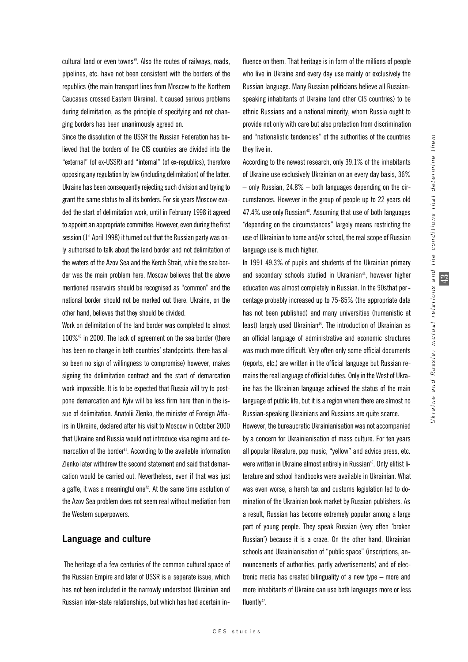$\mathfrak{D}$ 

cultural land or even towns<sup>39</sup>. Also the routes of railways, roads, pipelines, etc. have not been consistent with the borders of the republics (the main transport lines from Moscow to the Northern Caucasus crossed Eastern Ukraine). It caused serious problems during delimitation, as the principle of specifying and not changing borders has been unanimously agreed on.

Since the dissolution of the USSR the Russian Federation has believed that the borders of the CIS countries are divided into the "external" (of ex-USSR) and "internal" (of ex-republics), therefore opposing any regulation by law (including delimitation) of the latter. Ukraine has been consequently rejecting such division and trying to grant the same status to all its borders. For six years Moscow evaded the start of delimitation work, until in February 1998 it agreed to appoint an appropriate committee. However, even during the first session ( $1<sup>st</sup>$  April 1998) it turned out that the Russian party was only authorised to talk about the land border and not delimitation of the waters of the Azov Sea and the Kerch Strait, while the sea border was the main problem here. Moscow believes that the above mentioned reservoirs should be recognised as "common" and the national border should not be marked out there. Ukraine, on the other hand, believes that they should be divided.

Work on delimitation of the land border was completed to almost 100%<sup>40</sup> in 2000. The lack of agreement on the sea border (there has been no change in both countries' standpoints, there has also been no sign of willingness to compromise) however, makes signing the delimitation contract and the start of demarcation work impossible. It is to be expected that Russia will try to postpone demarcation and Kyiv will be less firm here than in the issue of delimitation. Anatolii Zlenko, the minister of Foreign Affairs in Ukraine, declared after his visit to Moscow in October 2000 that Ukraine and Russia would not introduce visa regime and demarcation of the border<sup>41</sup>. According to the available information Zlenko later withdrew the second statement and said that demarcation would be carried out. Nevertheless, even if that was just a gaffe, it was a meaningful one<sup>42</sup>. At the same time asolution of the Azov Sea problem does not seem real without mediation from the Western superpowers.

#### **Language and culture**

The heritage of a few centuries of the common cultural space of the Russian Empire and later of USSR is a separate issue, which has not been included in the narrowly understood Ukrainian and Russian inter-state relationships, but which has had acertain influence on them. That heritage is in form of the millions of people who live in Ukraine and every day use mainly or exclusively the Russian language. Many Russian politicians believe all Russianspeaking inhabitants of Ukraine (and other CIS countries) to be ethnic Russians and a national minority, whom Russia ought to provide not only with care but also protection from discrimination and "nationalistic tendencies" of the authorities of the countries they live in.

According to the newest research, only 39.1% of the inhabitants of Ukraine use exclusively Ukrainian on an every day basis, 36%  $-$  only Russian, 24.8%  $-$  both languages depending on the circumstances. However in the group of people up to 22 years old 47.4% use only Russian<sup>43</sup>. Assuming that use of both languages "depending on the circumstances" largely means restricting the use of Ukrainian to home and/or school, the real scope of Russian language use is much higher.

In 1991 49.3% of pupils and students of the Ukrainian primary and secondary schools studied in Ukrainian<sup>44</sup>, however higher education was almost completely in Russian. In the 90sthat percentage probably increased up to 75-85% (the appropriate data has not been published) and many universities (humanistic at least) largely used Ukrainian<sup>45</sup>. The introduction of Ukrainian as an official language of administrative and economic structures was much more difficult. Very often only some official documents (reports, etc.) are written in the official language but Russian remains the real language of official duties. Only in the West of Ukraine has the Ukrainian language achieved the status of the main language of public life, but it is a region where there are almost no Russian-speaking Ukrainians and Russians are quite scarce.

However, the bureaucratic Ukrainianisation was not accompanied by a concern for Ukrainianisation of mass culture. For ten years all popular literature, pop music, "yellow" and advice press, etc. were written in Ukraine almost entirely in Russian<sup>46</sup>. Only elitist literature and school handbooks were available in Ukrainian. What was even worse, a harsh tax and customs legislation led to domination of the Ukrainian book market by Russian publishers. As a result, Russian has become extremely popular among a large part of young people. They speak Russian (very often 'broken Russian') because it is a craze. On the other hand, Ukrainian schools and Ukrainianisation of "public space" (inscriptions, announcements of authorities, partly advertisements) and of electronic media has created bilinguality of a new type – more and more inhabitants of Ukraine can use both languages more or less fluently<sup>47</sup>.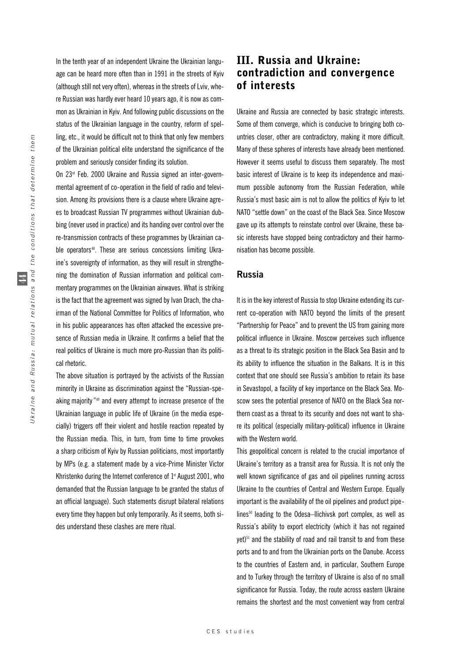In the tenth year of an independent Ukraine the Ukrainian language can be heard more often than in 1991 in the streets of Kyiv (although still not very often), whereas in the streets of Lviv, where Russian was hardly ever heard 10 years ago, it is now as common as Ukrainian in Kyiv. And following public discussions on the status of the Ukrainian language in the country, reform of spelling, etc., it would be difficult not to think that only few members of the Ukrainian political elite understand the significance of the problem and seriously consider finding its solution.

On 23rd Feb. 2000 Ukraine and Russia signed an inter-governmental agreement of co-operation in the field of radio and television. Among its provisions there is a clause where Ukraine agrees to broadcast Russian TV programmes without Ukrainian dubbing (never used in practice) and its handing over control over the re-transmission contracts of these programmes by Ukrainian cable operators<sup>48</sup>. These are serious concessions limiting Ukraine's sovereignty of information, as they will result in strengthening the domination of Russian information and political commentary programmes on the Ukrainian airwaves. What is striking is the fact that the agreement was signed by Ivan Drach, the chairman of the National Committee for Politics of Information, who in his public appearances has often attacked the excessive presence of Russian media in Ukraine. It confirms a belief that the real politics of Ukraine is much more pro-Russian than its political rhetoric.

The above situation is portrayed by the activists of the Russian minority in Ukraine as discrimination against the "Russian-speaking majority" <sup>49</sup> and every attempt to increase presence of the Ukrainian language in public life of Ukraine (in the media especially) triggers off their violent and hostile reaction repeated by the Russian media. This, in turn, from time to time provokes a sharp criticism of Kyiv by Russian politicians, most importantly by MPs (e.g. a statement made by a vice-Prime Minister Victor Khristenko during the Internet conference of  $1<sup>st</sup>$  August 2001, who demanded that the Russian language to be granted the status of an official language). Such statements disrupt bilateral relations every time they happen but only temporarily. As it seems, both sides understand these clashes are mere ritual.

# III. Russia and Ukraine: contradiction and convergence of interests

Ukraine and Russia are connected by basic strategic interests. Some of them converge, which is conducive to bringing both countries closer, other are contradictory, making it more difficult. Many of these spheres of interests have already been mentioned. However it seems useful to discuss them separately. The most basic interest of Ukraine is to keep its independence and maximum possible autonomy from the Russian Federation, while Russia's most basic aim is not to allow the politics of Kyiv to let NATO "settle down" on the coast of the Black Sea. Since Moscow gave up its attempts to reinstate control over Ukraine, these basic interests have stopped being contradictory and their harmonisation has become possible.

#### **Russia**

It is in the key interest of Russia to stop Ukraine extending its current co-operation with NATO beyond the limits of the present "Partnership for Peace" and to prevent the US from gaining more political influence in Ukraine. Moscow perceives such influence as a threat to its strategic position in the Black Sea Basin and to its ability to influence the situation in the Balkans. It is in this context that one should see Russia's ambition to retain its base in Sevastopol, a facility of key importance on the Black Sea. Moscow sees the potential presence of NATO on the Black Sea northern coast as a threat to its security and does not want to share its political (especially military-political) influence in Ukraine with the Western world.

This geopolitical concern is related to the crucial importance of Ukraine's territory as a transit area for Russia. It is not only the well known significance of gas and oil pipelines running across Ukraine to the countries of Central and Western Europe. Equally important is the availability of the oil pipelines and product pipelines<sup>50</sup> leading to the Odesa–Ilichivsk port complex, as well as Russia's ability to export electricity (which it has not regained yet)<sup>51</sup> and the stability of road and rail transit to and from these ports and to and from the Ukrainian ports on the Danube. Access to the countries of Eastern and, in particular, Southern Europe and to Turkey through the territory of Ukraine is also of no small significance for Russia. Today, the route across eastern Ukraine remains the shortest and the most convenient way from central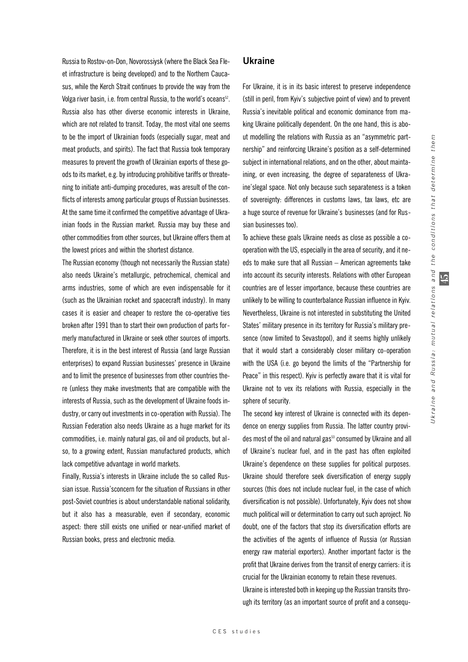Russia to Rostov-on-Don, Novorossiysk (where the Black Sea Fleet infrastructure is being developed) and to the Northern Caucasus, while the Kerch Strait continues to provide the way from the Volga river basin, i.e. from central Russia, to the world's oceans<sup>52</sup>. Russia also has other diverse economic interests in Ukraine, which are not related to transit. Today, the most vital one seems to be the import of Ukrainian foods (especially sugar, meat and meat products, and spirits). The fact that Russia took temporary measures to prevent the growth of Ukrainian exports of these goods to its market, e.g. by introducing prohibitive tariffs or threatening to initiate anti-dumping procedures, was aresult of the conflicts of interests among particular groups of Russian businesses. At the same time it confirmed the competitive advantage of Ukrainian foods in the Russian market. Russia may buy these and other commodities from other sources, but Ukraine offers them at the lowest prices and within the shortest distance.

The Russian economy (though not necessarily the Russian state) also needs Ukraine's metallurgic, petrochemical, chemical and arms industries, some of which are even indispensable for it (such as the Ukrainian rocket and spacecraft industry). In many cases it is easier and cheaper to restore the co-operative ties broken after 1991 than to start their own production of parts formerly manufactured in Ukraine or seek other sources of imports. Therefore, it is in the best interest of Russia (and large Russian enterprises) to expand Russian businesses' presence in Ukraine and to limit the presence of businesses from other countries there (unless they make investments that are compatible with the interests of Russia, such as the development of Ukraine foods industry, or carry out investments in co-operation with Russia). The Russian Federation also needs Ukraine as a huge market for its commodities, i.e. mainly natural gas, oil and oil products, but also, to a growing extent, Russian manufactured products, which lack competitive advantage in world markets.

Finally, Russia's interests in Ukraine include the so called Russian issue. Russia'sconcern for the situation of Russians in other post-Soviet countries is about understandable national solidarity, but it also has a measurable, even if secondary, economic aspect: there still exists one unified or near-unified market of Russian books, press and electronic media.

#### **Ukraine**

For Ukraine, it is in its basic interest to preserve independence (still in peril, from Kyiv's subjective point of view) and to prevent Russia's inevitable political and economic dominance from making Ukraine politically dependent. On the one hand, this is about modelling the relations with Russia as an "asymmetric partnership" and reinforcing Ukraine's position as a self-determined subject in international relations, and on the other, about maintaining, or even increasing, the degree of separateness of Ukraine'slegal space. Not only because such separateness is a token of sovereignty: differences in customs laws, tax laws, etc are a huge source of revenue for Ukraine's businesses (and for Russian businesses too).

To achieve these goals Ukraine needs as close as possible a cooperation with the US, especially in the area of security, and it needs to make sure that all Russian – American agreements take into account its security interests. Relations with other European countries are of lesser importance, because these countries are unlikely to be willing to counterbalance Russian influence in Kyiv. Nevertheless, Ukraine is not interested in substituting the United States' military presence in its territory for Russia's military presence (now limited to Sevastopol), and it seems highly unlikely that it would start a considerably closer military co-operation with the USA (i.e. go beyond the limits of the "Partnership for Peace" in this respect). Kyiv is perfectly aware that it is vital for Ukraine not to vex its relations with Russia, especially in the sphere of security.

The second key interest of Ukraine is connected with its dependence on energy supplies from Russia. The latter country provides most of the oil and natural gas<sup>53</sup> consumed by Ukraine and all of Ukraine's nuclear fuel, and in the past has often exploited Ukraine's dependence on these supplies for political purposes. Ukraine should therefore seek diversification of energy supply sources (this does not include nuclear fuel, in the case of which diversification is not possible). Unfortunately, Kyiv does not show much political will or determination to carry out such aproject. No doubt, one of the factors that stop its diversification efforts are the activities of the agents of influence of Russia (or Russian energy raw material exporters). Another important factor is the profit that Ukraine derives from the transit of energy carriers: it is crucial for the Ukrainian economy to retain these revenues. Ukraine is interested both in keeping up the Russian transits thro-

ugh its territory (as an important source of profit and a consequ-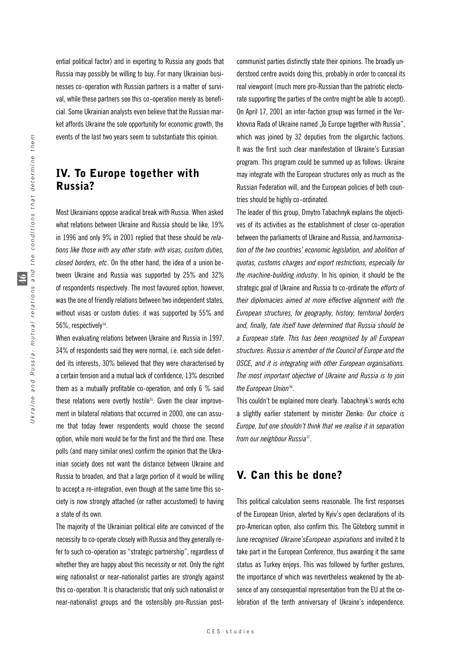ential political factor) and in exporting to Russia any goods that Russia may possibly be willing to buy. For many Ukrainian businesses co-operation with Russian partners is a matter of survival, while these partners see this co-operation merely as beneficial. Some Ukrainian analysts even believe that the Russian market affords Ukraine the sole opportunity for economic growth, the events of the last two years seem to substantiate this opinion.

# IV. To Europe together with Russia?

Most Ukrainians oppose aradical break with Russia. When asked what relations between Ukraine and Russia should be like, 19% in 1996 and only 9% in 2001 replied that these should be *relations like those with any other state: with visas, custom duties, closed borders, etc*. On the other hand, the idea of a union between Ukraine and Russia was supported by 25% and 32% of respondents respectively. The most favoured option, however, was the one of friendly relations between two independent states, without visas or custom duties: it was supported by 55% and 56%, respectively<sup>54</sup>.

When evaluating relations between Ukraine and Russia in 1997, 34% of respondents said they were normal, i.e. each side defended its interests, 30% believed that they were characterised by a certain tension and a mutual lack of confidence, 13% described them as a mutually profitable co-operation, and only 6 % said these relations were overtly hostile<sup>55</sup>. Given the clear improvement in bilateral relations that occurred in 2000, one can assume that today fewer respondents would choose the second option, while more would be for the first and the third one. These polls (and many similar ones) confirm the opinion that the Ukrainian society does not want the distance between Ukraine and Russia to broaden, and that a large portion of it would be willing to accept a re-integration, even though at the same time this society is now strongly attached (or rather accustomed) to having a state of its own.

The majority of the Ukrainian political elite are convinced of the necessity to co-operate closely with Russia and they generally refer to such co-operation as "strategic partnership", regardless of whether they are happy about this necessity or not. Only the right wing nationalist or near-nationalist parties are strongly against this co-operation. It is characteristic that only such nationalist or near-nationalist groups and the ostensibly pro-Russian post-

communist parties distinctly state their opinions. The broadly understood centre avoids doing this, probably in order to conceal its real viewpoint (much more pro-Russian than the patriotic electorate supporting the parties of the centre might be able to accept). On April 17, 2001 an inter-faction group was formed in the Verkhovna Rada of Ukraine named "To Europe together with Russia", which was joined by 32 deputies from the oligarchic factions. It was the first such clear manifestation of Ukraine's Eurasian program. This program could be summed up as follows: Ukraine may integrate with the European structures only as much as the Russian Federation will, and the European policies of both countries should be highly co-ordinated.

The leader of this group, Dmytro Tabachnyk explains the objectives of its activities as the establishment of closer co-operation between the parliaments of Ukraine and Russia, and *harmonisation of the two countries' economic legislation, and abolition of quotas, customs charges and export restrictions, especially for the machine-building industry*. In his opinion, it should be the strategic goal of Ukraine and Russia to co-ordinate the *efforts of their diplomacies aimed at more effective alignment with the European structures, for geography, history, territorial borders and, finally, fate itself have determined that Russia should be a European state. This has been recognised by all European structures: Russia is amember of the Council of Europe and the OSCE, and it is integrating with other European organisations. The most important objective of Ukraine and Russia is to join* the European Union<sup>56</sup>.

This couldn't be explained more clearly. Tabachnyk's words echo a slightly earlier statement by minister Zlenko: *Our choice is Europe, but one shouldn't think that we realise it in separation from our neighbour Russia*<sup>57</sup> .

## V. Can this be done?

This political calculation seems reasonable. The first responses of the European Union, alerted by Kyiv's open declarations of its pro-American option, also confirm this. The Göteborg summit in June *recognised Ukraine'sEuropean aspirations* and invited it to take part in the European Conference, thus awarding it the same status as Turkey enjoys. This was followed by further gestures, the importance of which was nevertheless weakened by the absence of any consequential representation from the EU at the celebration of the tenth anniversary of Ukraine's independence.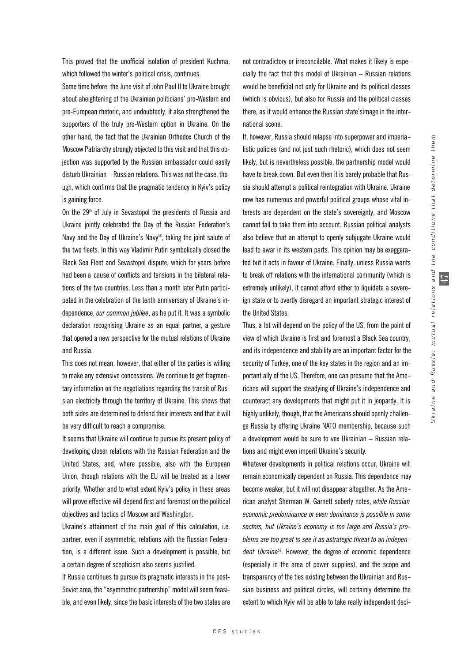$\overline{11}$ 

This proved that the unofficial isolation of president Kuchma, which followed the winter's political crisis, continues.

Some time before, the June visit of John Paul II to Ukraine brought about aheightening of the Ukrainian politicians' pro-Western and pro-European rhetoric, and undoubtedly, it also strengthened the supporters of the truly pro-Western option in Ukraine. On the other hand, the fact that the Ukrainian Orthodox Church of the Moscow Patriarchy strongly objected to this visit and that this objection was supported by the Russian ambassador could easily disturb Ukrainian – Russian relations. This was not the case, though, which confirms that the pragmatic tendency in Kyiv's policy is gaining force.

On the  $29<sup>th</sup>$  of July in Sevastopol the presidents of Russia and Ukraine jointly celebrated the Day of the Russian Federation's Navy and the Day of Ukraine's Navy<sup>58</sup>, taking the joint salute of the two fleets. In this way Vladimir Putin symbolically closed the Black Sea Fleet and Sevastopol dispute, which for years before had been a cause of conflicts and tensions in the bilateral relations of the two countries. Less than a month later Putin participated in the celebration of the tenth anniversary of Ukraine's independence, *our common jubilee*, as he put it. It was a symbolic declaration recognising Ukraine as an equal partner, a gesture that opened a new perspective for the mutual relations of Ukraine and Russia.

This does not mean, however, that either of the parties is willing to make any extensive concessions. We continue to get fragmentary information on the negotiations regarding the transit of Russian electricity through the territory of Ukraine. This shows that both sides are determined to defend their interests and that it will be very difficult to reach a compromise.

It seems that Ukraine will continue to pursue its present policy of developing closer relations with the Russian Federation and the United States, and, where possible, also with the European Union, though relations with the EU will be treated as a lower priority. Whether and to what extent Kyiv's policy in these areas will prove effective will depend first and foremost on the political objectives and tactics of Moscow and Washington.

Ukraine's attainment of the main goal of this calculation, i.e. partner, even if asymmetric, relations with the Russian Federation, is a different issue. Such a development is possible, but a certain degree of scepticism also seems justified.

If Russia continues to pursue its pragmatic interests in the post-Soviet area, the "asymmetric partnership" model will seem feasible, and even likely, since the basic interests of the two states are

not contradictory or irreconcilable. What makes it likely is especially the fact that this model of Ukrainian – Russian relations would be beneficial not only for Ukraine and its political classes (which is obvious), but also for Russia and the political classes there, as it would enhance the Russian state'simage in the international scene.

If, however, Russia should relapse into superpower and imperia listic policies (and not just such rhetoric), which does not seem likely, but is nevertheless possible, the partnership model would have to break down. But even then it is barely probable that Russia should attempt a political reintegration with Ukraine. Ukraine now has numerous and powerful political groups whose vital interests are dependent on the state's sovereignty, and Moscow cannot fail to take them into account. Russian political analysts also believe that an attempt to openly subjugate Ukraine would lead to awar in its western parts. This opinion may be exaggerated but it acts in favour of Ukraine. Finally, unless Russia wants to break off relations with the international community (which is extremely unlikely), it cannot afford either to liquidate a sovereign state or to overtly disregard an important strategic interest of the United States.

Thus, a lot will depend on the policy of the US, from the point of view of which Ukraine is first and foremost a Black Sea country, and its independence and stability are an important factor for the security of Turkey, one of the key states in the region and an important ally of the US. Therefore, one can presume that the Americans will support the steadying of Ukraine's independence and counteract any developments that might put it in jeopardy. It is highly unlikely, though, that the Americans should openly challenge Russia by offering Ukraine NATO membership, because such a development would be sure to vex Ukrainian – Russian relations and might even imperil Ukraine's security.

Whatever developments in political relations occur, Ukraine will remain economically dependent on Russia. This dependence may become weaker, but it will not disappear altogether. As the American analyst Sherman W. Garnett soberly notes, *while Russian economic predominance or even dominance is possible in some* sectors, but Ukraine's economy is too large and Russia's pro*blems are too great to see it as astrategic threat to an independent Ukraine*59. However, the degree of economic dependence (especially in the area of power supplies), and the scope and transparency of the ties existing between the Ukrainian and Russian business and political circles, will certainly determine the extent to which Kyiv will be able to take really independent deci-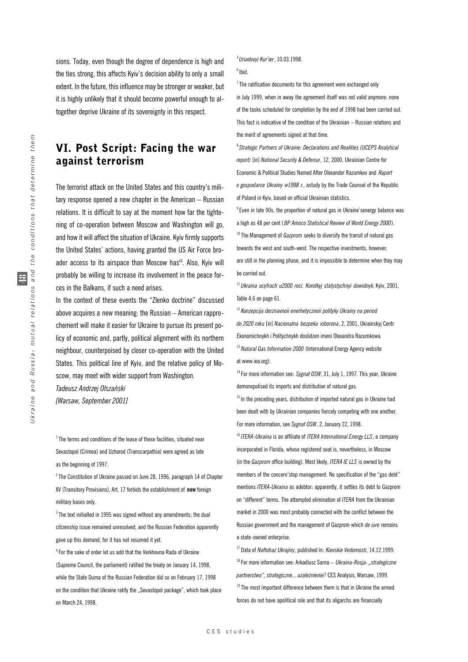sions. Today, even though the degree of dependence is high and the ties strong, this affects Kyiv's decision ability to only a small extent. In the future, this influence may be stronger or weaker, but it is highly unlikely that it should become powerful enough to altogether deprive Ukraine of its sovereignty in this respect.

# VI. Post Script: Facing the war against terrorism

The terrorist attack on the United States and this country's military response opened a new chapter in the American – Russian relations. It is difficult to say at the moment how far the tightening of co-operation between Moscow and Washington will go, and how it will affect the situation of Ukraine. Kyiv firmly supports the United States' actions, having granted the US Air Force broader access to its airspace than Moscow has<sup>60</sup>. Also, Kyiv will probably be willing to increase its involvement in the peace forces in the Balkans, if such a need arises.

In the context of these events the "Zlenko doctrine" discussed above acquires a new meaning: the Russian – American rapprochement will make it easier for Ukraine to pursue its present policy of economic and, partly, political alignment with its northern neighbour, counterpoised by closer co-operation with the United States. This political line of Kyiv, and the relative policy of Moscow, may meet with wider support from Washington.

*Tadeusz Andrzej Olszaƒski [Warsaw, September 2001]*

 $1$ The terms and conditions of the lease of these facilities, situated near Sevastopol (Crimea) and Uzhorod (Transcarpathia) were agreed as late as the beginning of 1997.

 $^{2}$  The Constitution of Ukraine passed on June 28, 1996, paragraph 14 of Chapter XV (Transitory Provisions), Art. 17 forbids the establishment of **new** foreign military bases only.

 $3$  The text initialled in 1995 was signed without any amendments; the dual citizenship issue remained unresolved, and the Russian Federation apparently gave up this demand, for it has not resumed it yet.

<sup>4</sup> For the sake of order let us add that the Verkhovna Rada of Ukraine (Supreme Council, the parliament) ratified the treaty on January 14, 1998, while the State Duma of the Russian Federation did so on February 17, 1998 on the condition that Ukraine ratify the "Sevastopol package", which took place on March 24, 1998.

5 *Uriadovyi Kur'ier*, 10.03.1998.

 $^6$  Ibid.

 $7$  The ratification documents for this agreement were exchanged only in July 1999, when in away the agreement itself was not valid anymore: none of the tasks scheduled for completion by the end of 1998 had been carried out. This fact is indicative of the condition of the Ukrainian – Russian relations and the merit of agreements signed at that time.

8 *Strategic Partners of Ukraine: Declarations and Realities (UCEPS Analytical report)* [in] *National Security & Defense*, 12, 2000, Ukrainian Centre for Economic & Political Studies Named After Olexander Razumkov and *Raport o gospodarce Ukrainy w1998 r.*, astudy by the Trade Counsel of the Republic of Poland in Kyiv, based on official Ukrainian statistics.

 $9$  Even in late 90s, the proportion of natural gas in Ukraine'senergy balance was a high as 48 per cent ( *BP Amoco Statistical Review of World Energy 2000*). <sup>10</sup> The Management of *Gazprom* seeks to diversify the transit of natural gas towards the west and south-west. The respective investments, however, are still in the planning phase, and it is impossible to determine when they may be carried out.

<sup>11</sup>*Ukraina ucyfrach u2000 roci. Korotkyj statystychnyi dowidnyk*, Kyiv, 2001, Table 4.6 on page 61.

<sup>12</sup>*Konzepcija derznavnoii enerhetycznoii polityky Ukrainy na period do 2020 roku* [in] *Nacionalna bezpeka ioborona*, 2, 2001, Ukrainskyj Centr Ekonomichnykh i Politychnykh doslidzen imeni Olexandra Razumkowa. <sup>13</sup> Natural Gas Information 2000 (International Energy Agency website at www.iea.org).

<sup>14</sup> For more information see: Sygnał OSW, 31, July 1, 1997. This year, Ukraine demonopolised its imports and distribution of natural gas.

 $15$  In the preceding years, distribution of imported natural gas in Ukraine had been dealt with by Ukrainian companies fiercely competing with one another. For more information, see Sygnał OSW, 2, January 22, 1998.

<sup>16</sup>*ITERA-Ukraina* is an affiliate of *ITERA International Energy LLS*, a company incorporated in Florida, whose registered seat is, nevertheless, in Moscow (in the *Gazprom* office building). Most likely, *ITERA IE LLS* is owned by the members of the concern'stop management. No specification of the "gas debt" mentions *ITERA-Ukraina* as adebtor: apparently, it settles its debt to Gazprom on "different" terms. The attempted elimination of *ITERA* from the Ukrainian market in 2000 was most probably connected with the conflict between the Russian government and the management of Gazprom which *de iure* remains a state-owned enterprise.

<sup>17</sup> Data of *Naftohaz Ukrajiny*, published in: *Kievskie Vedomosti*, 14.12.1999. <sup>18</sup> For more information see: Arkadiusz Sarna – Ukraina-Rosja: "strategiczne *partnerstwo", strategiczne... uzale˝nienie?* CES Analysis, Warsaw, 1999.  $19$ The most important difference between them is that in Ukraine the armed forces do not have apolitical role and that its oligarchs are financially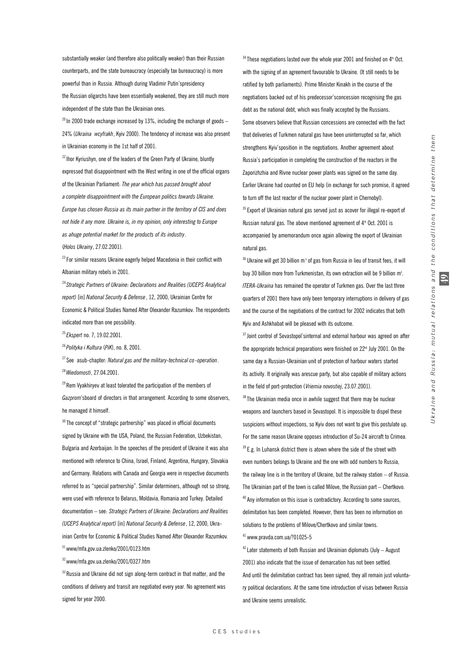substantially weaker (and therefore also politically weaker) than their Russian counterparts, and the state bureaucracy (especially tax bureaucracy) is more powerful than in Russia. Although during Vladimir Putin'spresidency the Russian oligarchs have been essentially weakened, they are still much more independent of the state than the Ukrainian ones.

 $^{20}$  In 2000 trade exchange increased by 13%, including the exchange of goods – 24% (*Ukraina wcyfrakh*, Kyiv 2000). The tendency of increase was also present in Ukrainian economy in the 1st half of 2001.

 $22$ Ihor Kyriushyn, one of the leaders of the Green Party of Ukraine, bluntly expressed that disappointment with the West writing in one of the official organs of the Ukrainian Parliament: *The year which has passed brought about a complete disappointment with the European politics towards Ukraine. Europe has chosen Russia as its main partner in the territory of CIS and does not hide it any more. Ukraine is, in my opinion, only interesting to Europe as ahuge potential market for the products of its industry*.

(*Holos Ukrainy*, 27.02.2001).

 $^{23}$  For similar reasons Ukraine eagerly helped Macedonia in their conflict with Albanian military rebels in 2001.

<sup>24</sup>*Strategic Partners of Ukraine: Declarations and Realities (UCEPS Analytical report)* [in] *National Security & Defense*, 12, 2000, Ukrainian Centre for Economic & Political Studies Named After Olexander Razumkov. The respondents indicated more than one possibility.

<sup>25</sup>*Ekspert* no. 7, 19.02.2001.

<sup>26</sup>*Polityka i Kultura* (*PiK*), no. 8, 2001.

<sup>27</sup>See asub-chapter: *Natural gas and the military-technical co-operation*. <sup>28</sup>*Wiedomosti*, 27.04.2001.

<sup>29</sup> Rem Vyakhiryev at least tolerated the participation of the members of

*Gazprom*'sboard of directors in that arrangement. According to some observers, he managed it himself.

 $30$  The concept of "strategic partnership" was placed in official documents signed by Ukraine with the USA, Poland, the Russian Federation, Uzbekistan, Bulgaria and Azerbaijan. In the speeches of the president of Ukraine it was also mentioned with reference to China, Israel, Finland, Argentina, Hungary, Slovakia and Germany. Relations with Canada and Georgia were in respective documents referred to as "special partnership". Similar determiners, although not so strong, were used with reference to Belarus, Moldavia, Romania and Turkey. Detailed documentation – see: *Strategic Partners of Ukraine: Declarations and Realities (UCEPS Analytical report)* [in] *National Security & Defense*, 12, 2000, Ukrainian Centre for Economic & Political Studies Named After Olexander Razumkov.  $31$ www/mfa.gov.ua.zlenko/2001/0123.htm

 $32$ www/mfa.gov.ua.zlenko/2001/0327.htm

 $33$  Russia and Ukraine did not sign along-term contract in that matter, and the conditions of delivery and transit are negotiated every year. No agreement was signed for year 2000.

 $34$  These negotiations lasted over the whole year 2001 and finished on  $4<sup>th</sup>$  Oct. with the signing of an agreement favourable to Ukraine. (It still needs to be ratified by both parliaments). Prime Minister Kinakh in the course of the negotiations backed out of his predecessor'sconcession recognising the gas debt as the national debt, which was finally accepted by the Russians. Some observers believe that Russian concessions are connected with the fact that deliveries of Turkmen natural gas have been uninterrupted so far, which strengthens Kyiv'sposition in the negotiations. Another agreement about Russia's participation in completing the construction of the reactors in the Zaporizhzhia and Rivne nuclear power plants was signed on the same day. Earlier Ukraine had counted on EU help (in exchange for such promise, it agreed to turn off the last reactor of the nuclear power plant in Chernobyl).

<sup>35</sup> Export of Ukrainian natural gas served just as acover for illegal re-export of Russian natural gas. The above mentioned agreement of  $4<sup>th</sup>$  Oct. 2001 is accompanied by amemorandum once again allowing the export of Ukrainian natural gas.

 $36$  Ukraine will get 30 billion m $^3$  of gas from Russia in lieu of transit fees, it will buy 30 billion more from Turkmenistan, its own extraction will be 9 billion m<sup>3</sup>. *ITERA-Ukraina* has remained the operator of Turkmen gas. Over the last three quarters of 2001 there have only been temporary interruptions in delivery of gas and the course of the negotiations of the contract for 2002 indicates that both Kyiv and Ashkhabat will be pleased with its outcome.

 $37$  Joint control of Sevastopol'sinternal and external harbour was agreed on after the appropriate technical preparations were finished on  $22<sup>nd</sup>$  July 2001. On the same day a Russian-Ukrainian unit of protection of harbour waters started its activity. It originally was arescue party, but also capable of military actions in the field of port-protection (*Vriemia novostiej*, 23.07.2001).

 $38$  The Ukrainian media once in awhile suggest that there may be nuclear weapons and launchers based in Sevastopol. It is impossible to dispel these suspicions without inspections, so Kyiv does not want to give this postulate up. For the same reason Ukraine opposes introduction of Su-24 aircraft to Crimea.  $39$  E.g. In Luhansk district there is atown where the side of the street with even numbers belongs to Ukraine and the one with odd numbers to Russia, the railway line is in the territory of Ukraine, but the railway station – of Russia. The Ukrainian part of the town is called Milove, the Russian part – Chertkovo.  $40$  Any information on this issue is contradictory. According to some sources, delimitation has been completed. However, there has been no information on solutions to the problems of Milove/Chertkovo and similar towns.  $41$  www.pravda.com.ua/?01025-5

 $42$  Later statements of both Russian and Ukrainian diplomats (July – August) 2001) also indicate that the issue of demarcation has not been settled. And until the delimitation contract has been signed, they all remain just voluntary political declarations. At the same time introduction of visas between Russia and Ukraine seems unrealistic.